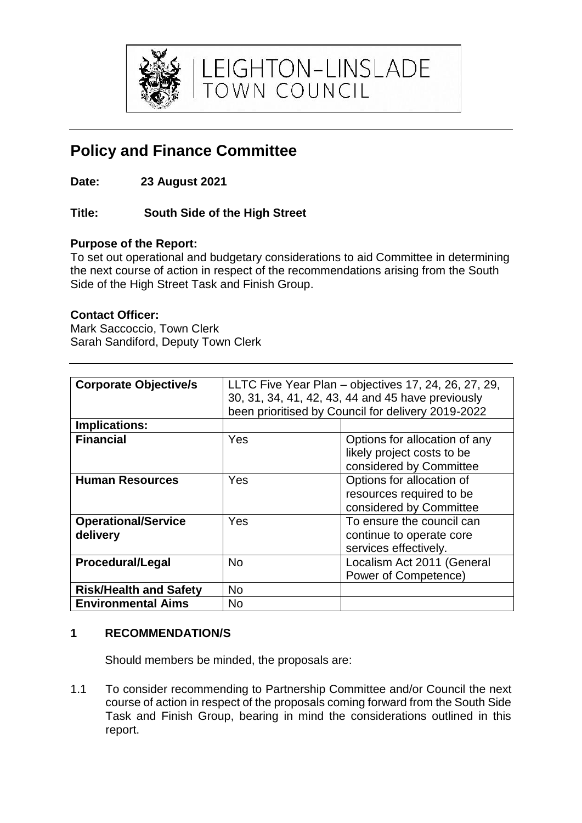

LEIGHTON-LINSLADE<br>TOWN COUNCIL

# **Policy and Finance Committee**

**Date: 23 August 2021**

## **Title: South Side of the High Street**

### **Purpose of the Report:**

To set out operational and budgetary considerations to aid Committee in determining the next course of action in respect of the recommendations arising from the South Side of the High Street Task and Finish Group.

#### **Contact Officer:**

Mark Saccoccio, Town Clerk Sarah Sandiford, Deputy Town Clerk

| <b>Corporate Objective/s</b>  | LLTC Five Year Plan – objectives 17, 24, 26, 27, 29, |                               |
|-------------------------------|------------------------------------------------------|-------------------------------|
|                               | 30, 31, 34, 41, 42, 43, 44 and 45 have previously    |                               |
|                               | been prioritised by Council for delivery 2019-2022   |                               |
|                               |                                                      |                               |
| <b>Implications:</b>          |                                                      |                               |
| <b>Financial</b>              | Yes                                                  | Options for allocation of any |
|                               |                                                      | likely project costs to be    |
|                               |                                                      | considered by Committee       |
| <b>Human Resources</b>        | Yes                                                  | Options for allocation of     |
|                               |                                                      | resources required to be      |
|                               |                                                      | considered by Committee       |
| <b>Operational/Service</b>    | Yes                                                  | To ensure the council can     |
| delivery                      |                                                      | continue to operate core      |
|                               |                                                      | services effectively.         |
| <b>Procedural/Legal</b>       | <b>No</b>                                            | Localism Act 2011 (General    |
|                               |                                                      | Power of Competence)          |
| <b>Risk/Health and Safety</b> | No.                                                  |                               |
| <b>Environmental Aims</b>     | No                                                   |                               |

#### **1 RECOMMENDATION/S**

Should members be minded, the proposals are:

1.1 To consider recommending to Partnership Committee and/or Council the next course of action in respect of the proposals coming forward from the South Side Task and Finish Group, bearing in mind the considerations outlined in this report.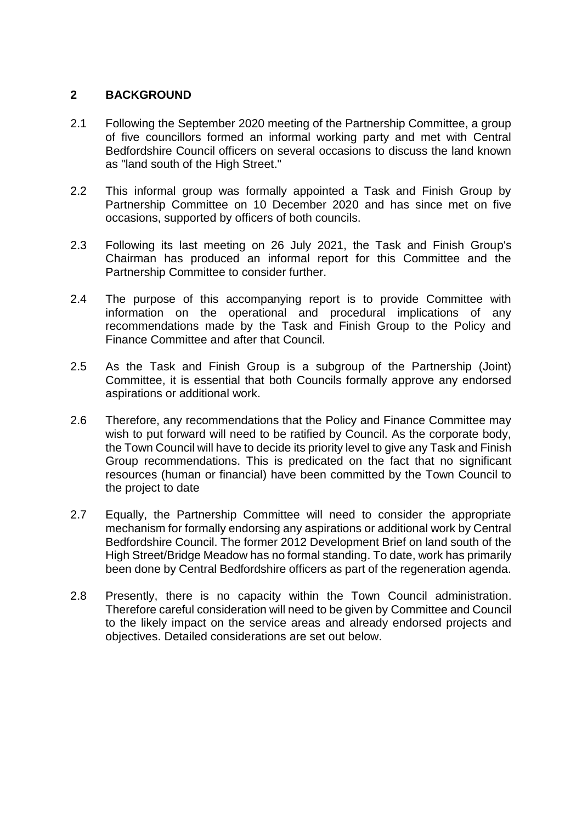#### **2 BACKGROUND**

- 2.1 Following the September 2020 meeting of the Partnership Committee, a group of five councillors formed an informal working party and met with Central Bedfordshire Council officers on several occasions to discuss the land known as "land south of the High Street."
- 2.2 This informal group was formally appointed a Task and Finish Group by Partnership Committee on 10 December 2020 and has since met on five occasions, supported by officers of both councils.
- 2.3 Following its last meeting on 26 July 2021, the Task and Finish Group's Chairman has produced an informal report for this Committee and the Partnership Committee to consider further.
- 2.4 The purpose of this accompanying report is to provide Committee with information on the operational and procedural implications of any recommendations made by the Task and Finish Group to the Policy and Finance Committee and after that Council.
- 2.5 As the Task and Finish Group is a subgroup of the Partnership (Joint) Committee, it is essential that both Councils formally approve any endorsed aspirations or additional work.
- 2.6 Therefore, any recommendations that the Policy and Finance Committee may wish to put forward will need to be ratified by Council. As the corporate body, the Town Council will have to decide its priority level to give any Task and Finish Group recommendations. This is predicated on the fact that no significant resources (human or financial) have been committed by the Town Council to the project to date
- 2.7 Equally, the Partnership Committee will need to consider the appropriate mechanism for formally endorsing any aspirations or additional work by Central Bedfordshire Council. The former 2012 Development Brief on land south of the High Street/Bridge Meadow has no formal standing. To date, work has primarily been done by Central Bedfordshire officers as part of the regeneration agenda.
- 2.8 Presently, there is no capacity within the Town Council administration. Therefore careful consideration will need to be given by Committee and Council to the likely impact on the service areas and already endorsed projects and objectives. Detailed considerations are set out below.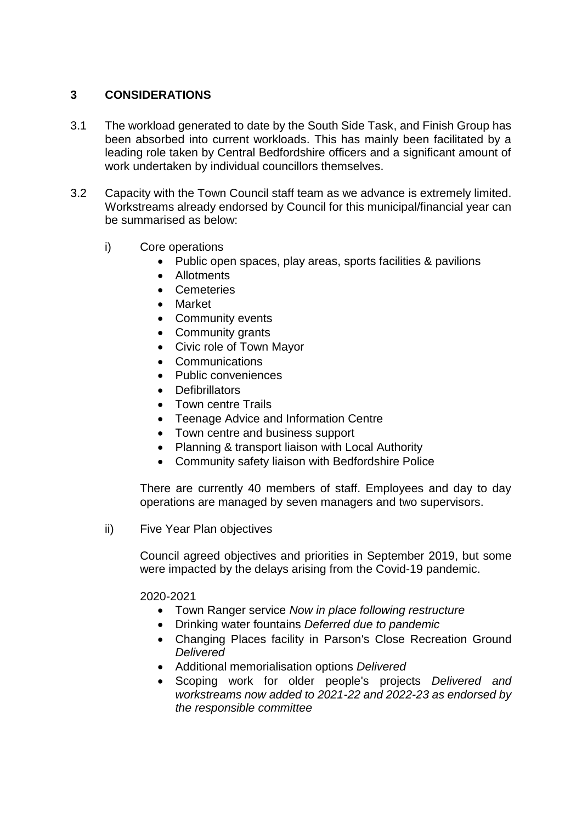#### **3 CONSIDERATIONS**

- 3.1 The workload generated to date by the South Side Task, and Finish Group has been absorbed into current workloads. This has mainly been facilitated by a leading role taken by Central Bedfordshire officers and a significant amount of work undertaken by individual councillors themselves.
- 3.2 Capacity with the Town Council staff team as we advance is extremely limited. Workstreams already endorsed by Council for this municipal/financial year can be summarised as below:
	- i) Core operations
		- Public open spaces, play areas, sports facilities & pavilions
		- Allotments
		- Cemeteries
		- Market
		- Community events
		- Community grants
		- Civic role of Town Mayor
		- Communications
		- Public conveniences
		- **Defibrillators**
		- Town centre Trails
		- Teenage Advice and Information Centre
		- Town centre and business support
		- Planning & transport liaison with Local Authority
		- Community safety liaison with Bedfordshire Police

There are currently 40 members of staff. Employees and day to day operations are managed by seven managers and two supervisors.

ii) Five Year Plan objectives

Council agreed objectives and priorities in September 2019, but some were impacted by the delays arising from the Covid-19 pandemic.

2020-2021

- Town Ranger service *Now in place following restructure*
- Drinking water fountains *Deferred due to pandemic*
- Changing Places facility in Parson's Close Recreation Ground *Delivered*
- Additional memorialisation options *Delivered*
- Scoping work for older people's projects *Delivered and workstreams now added to 2021-22 and 2022-23 as endorsed by the responsible committee*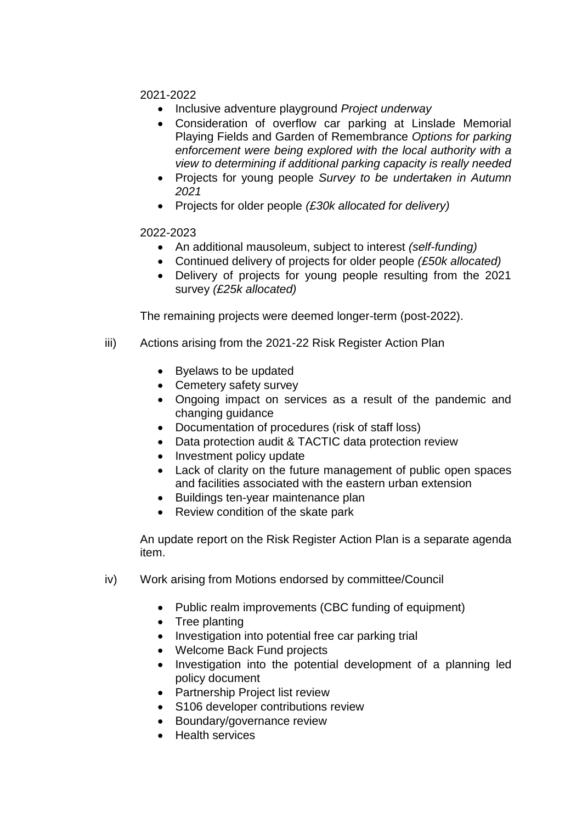2021-2022

- Inclusive adventure playground *Project underway*
- Consideration of overflow car parking at Linslade Memorial Playing Fields and Garden of Remembrance *Options for parking enforcement were being explored with the local authority with a view to determining if additional parking capacity is really needed*
- Projects for young people *Survey to be undertaken in Autumn 2021*
- Projects for older people *(£30k allocated for delivery)*

#### 2022-2023

- An additional mausoleum, subject to interest *(self-funding)*
- Continued delivery of projects for older people *(£50k allocated)*
- Delivery of projects for young people resulting from the 2021 survey *(£25k allocated)*

The remaining projects were deemed longer-term (post-2022).

- iii) Actions arising from the 2021-22 Risk Register Action Plan
	- Byelaws to be updated
	- Cemetery safety survey
	- Ongoing impact on services as a result of the pandemic and changing guidance
	- Documentation of procedures (risk of staff loss)
	- Data protection audit & TACTIC data protection review
	- Investment policy update
	- Lack of clarity on the future management of public open spaces and facilities associated with the eastern urban extension
	- Buildings ten-year maintenance plan
	- Review condition of the skate park

An update report on the Risk Register Action Plan is a separate agenda item.

- iv) Work arising from Motions endorsed by committee/Council
	- Public realm improvements (CBC funding of equipment)
	- Tree planting
	- Investigation into potential free car parking trial
	- Welcome Back Fund projects
	- Investigation into the potential development of a planning led policy document
	- Partnership Project list review
	- S106 developer contributions review
	- Boundary/governance review
	- Health services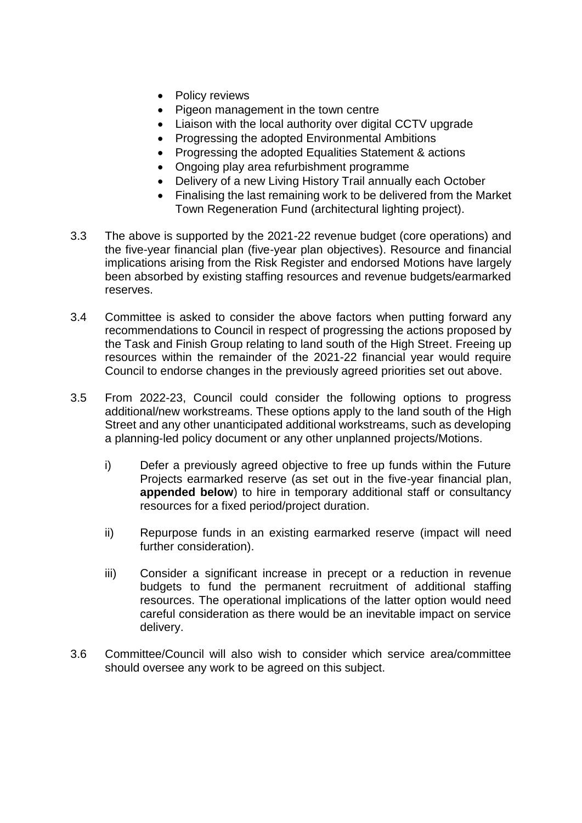- Policy reviews
- Pigeon management in the town centre
- Liaison with the local authority over digital CCTV upgrade
- Progressing the adopted Environmental Ambitions
- Progressing the adopted Equalities Statement & actions
- Ongoing play area refurbishment programme
- Delivery of a new Living History Trail annually each October
- Finalising the last remaining work to be delivered from the Market Town Regeneration Fund (architectural lighting project).
- 3.3 The above is supported by the 2021-22 revenue budget (core operations) and the five-year financial plan (five-year plan objectives). Resource and financial implications arising from the Risk Register and endorsed Motions have largely been absorbed by existing staffing resources and revenue budgets/earmarked reserves.
- 3.4 Committee is asked to consider the above factors when putting forward any recommendations to Council in respect of progressing the actions proposed by the Task and Finish Group relating to land south of the High Street. Freeing up resources within the remainder of the 2021-22 financial year would require Council to endorse changes in the previously agreed priorities set out above.
- 3.5 From 2022-23, Council could consider the following options to progress additional/new workstreams. These options apply to the land south of the High Street and any other unanticipated additional workstreams, such as developing a planning-led policy document or any other unplanned projects/Motions.
	- i) Defer a previously agreed objective to free up funds within the Future Projects earmarked reserve (as set out in the five-year financial plan, **appended below**) to hire in temporary additional staff or consultancy resources for a fixed period/project duration.
	- ii) Repurpose funds in an existing earmarked reserve (impact will need further consideration).
	- iii) Consider a significant increase in precept or a reduction in revenue budgets to fund the permanent recruitment of additional staffing resources. The operational implications of the latter option would need careful consideration as there would be an inevitable impact on service delivery.
- 3.6 Committee/Council will also wish to consider which service area/committee should oversee any work to be agreed on this subject.